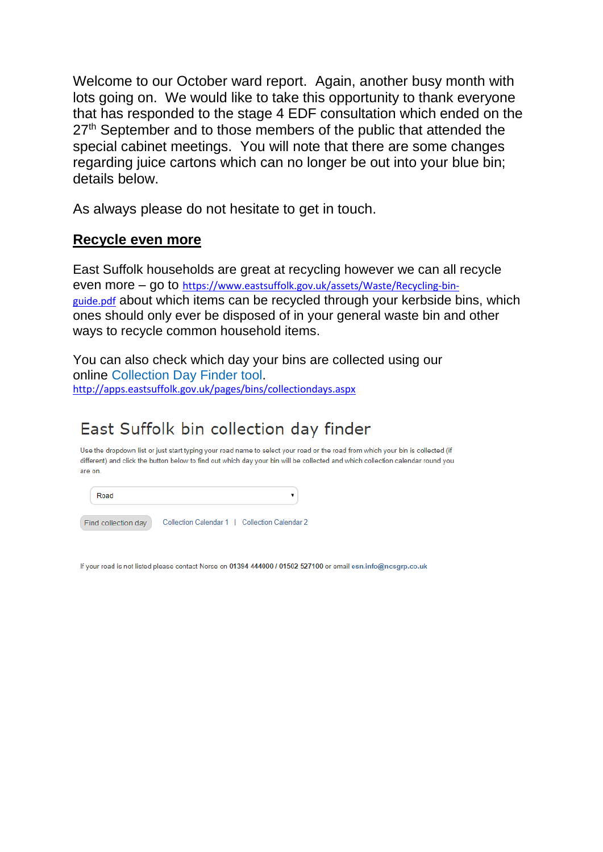Welcome to our October ward report. Again, another busy month with lots going on. We would like to take this opportunity to thank everyone that has responded to the stage 4 EDF consultation which ended on the 27<sup>th</sup> September and to those members of the public that attended the special cabinet meetings. You will note that there are some changes regarding juice cartons which can no longer be out into your blue bin; details below.

As always please do not hesitate to get in touch.

## **Recycle even more**

East Suffolk households are great at recycling however we can all recycle even more – go to [https://www.eastsuffolk.gov.uk/assets/Waste/Recycling-bin](https://www.eastsuffolk.gov.uk/assets/Waste/Recycling-bin-guide.pdf)[guide.pdf](https://www.eastsuffolk.gov.uk/assets/Waste/Recycling-bin-guide.pdf) about which items can be recycled through your kerbside bins, which ones should only ever be disposed of in your general waste bin and other ways to recycle common household items.

You can also check which day your bins are collected using our online [Collection Day Finder tool.](http://apps.eastsuffolk.gov.uk/pages/bins/collectiondays.aspx) <http://apps.eastsuffolk.gov.uk/pages/bins/collectiondays.aspx>

# East Suffolk bin collection day finder

Use the dropdown list or just start typing your road name to select your road or the road from which your bin is collected (if different) and click the button below to find out which day your bin will be collected and which collection calendar round you are on

Road  $\overline{\mathbf{v}}$ 

Find collection day Collection Calendar 1 | Collection Calendar 2

If your road is not listed please contact Norse on 01394 444000 / 01502 527100 or email esn.info@ncsgrp.co.uk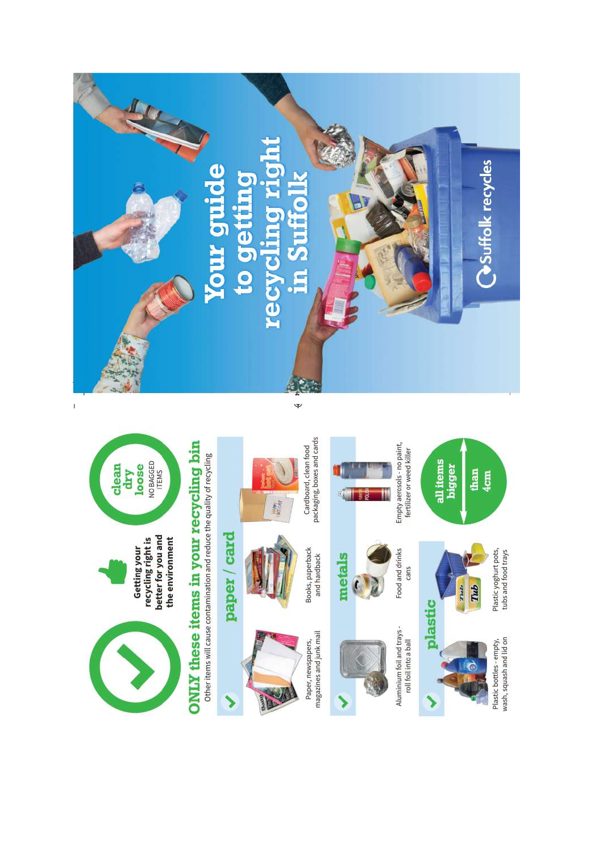



Getting your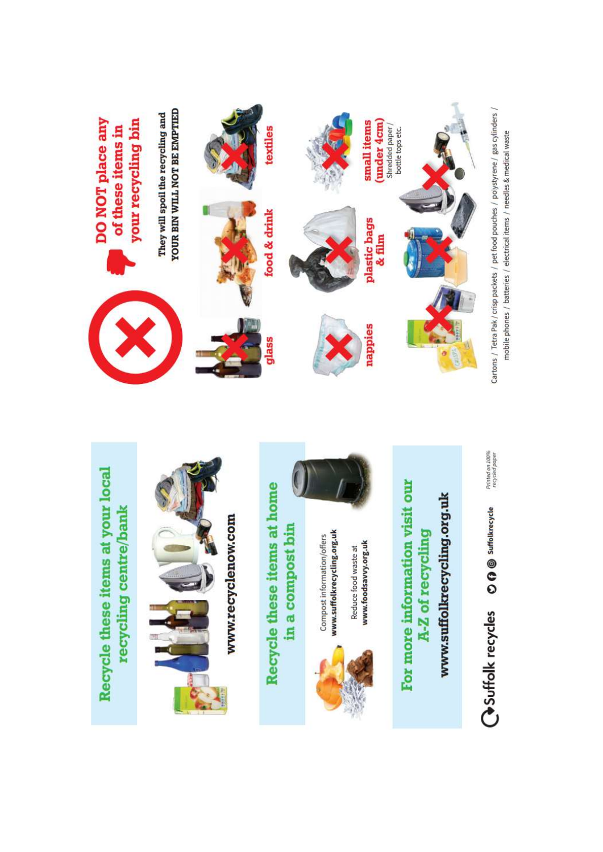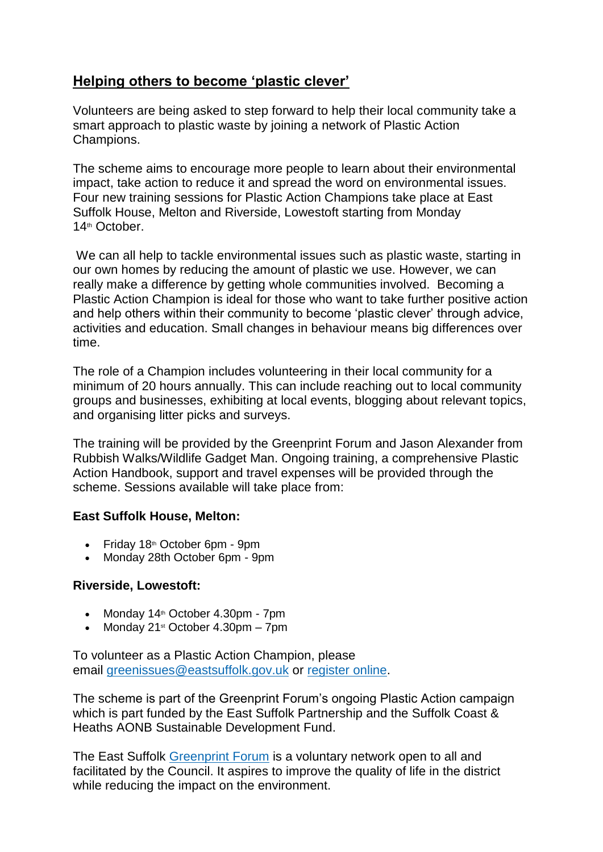# **Helping others to become 'plastic clever'**

Volunteers are being asked to step forward to help their local community take a smart approach to plastic waste by joining a network of Plastic Action Champions.

The scheme aims to encourage more people to learn about their environmental impact, take action to reduce it and spread the word on environmental issues. Four new training sessions for Plastic Action Champions take place at East Suffolk House, Melton and Riverside, Lowestoft starting from Monday 14th October.

We can all help to tackle environmental issues such as plastic waste, starting in our own homes by reducing the amount of plastic we use. However, we can really make a difference by getting whole communities involved. Becoming a Plastic Action Champion is ideal for those who want to take further positive action and help others within their community to become 'plastic clever' through advice, activities and education. Small changes in behaviour means big differences over time.

The role of a Champion includes volunteering in their local community for a minimum of 20 hours annually. This can include reaching out to local community groups and businesses, exhibiting at local events, blogging about relevant topics, and organising litter picks and surveys.

The training will be provided by the Greenprint Forum and Jason Alexander from Rubbish Walks/Wildlife Gadget Man. Ongoing training, a comprehensive Plastic Action Handbook, support and travel expenses will be provided through the scheme. Sessions available will take place from:

#### **East Suffolk House, Melton:**

- $\bullet$  Friday 18<sup>th</sup> October 6pm 9pm
- Monday 28th October 6pm 9pm

#### **Riverside, Lowestoft:**

- Monday  $14<sup>th</sup>$  October  $4.30$ pm 7pm
- Monday 21<sup>st</sup> October 4.30pm 7pm

To volunteer as a Plastic Action Champion, please email [greenissues@eastsuffolk.gov.uk](mailto:greenissues@eastsuffolk.gov.uk) or [register online.](https://www.eastsuffolk.gov.uk/environment/east-suffolk-greenprint-forum/plastic-action/plastic-action-champions-and-volunteering/)

The scheme is part of the Greenprint Forum's ongoing Plastic Action campaign which is part funded by the East Suffolk Partnership and the Suffolk Coast & Heaths AONB Sustainable Development Fund.

The East Suffolk [Greenprint Forum](https://www.eastsuffolk.gov.uk/environment/east-suffolk-greenprint-forum/) is a voluntary network open to all and facilitated by the Council. It aspires to improve the quality of life in the district while reducing the impact on the environment.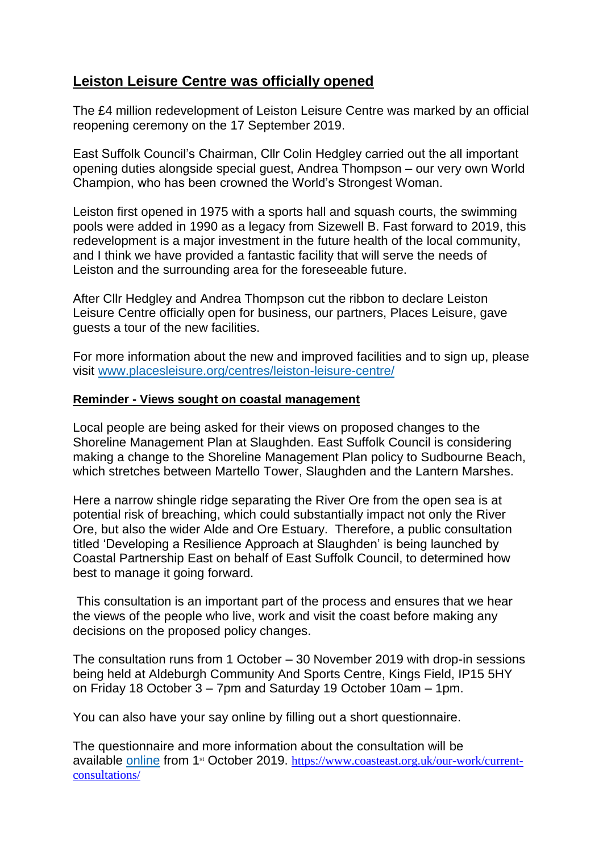# **Leiston Leisure Centre was officially opened**

The £4 million redevelopment of Leiston Leisure Centre was marked by an official reopening ceremony on the 17 September 2019.

East Suffolk Council's Chairman, Cllr Colin Hedgley carried out the all important opening duties alongside special guest, Andrea Thompson – our very own World Champion, who has been crowned the World's Strongest Woman.

Leiston first opened in 1975 with a sports hall and squash courts, the swimming pools were added in 1990 as a legacy from Sizewell B. Fast forward to 2019, this redevelopment is a major investment in the future health of the local community, and I think we have provided a fantastic facility that will serve the needs of Leiston and the surrounding area for the foreseeable future.

After Cllr Hedgley and Andrea Thompson cut the ribbon to declare Leiston Leisure Centre officially open for business, our partners, Places Leisure, gave guests a tour of the new facilities.

For more information about the new and improved facilities and to sign up, please visit [www.placesleisure.org/centres/leiston-leisure-centre/](http://www.placesleisure.org/centres/leiston-leisure-centre/)

#### **Reminder - Views sought on coastal management**

Local people are being asked for their views on proposed changes to the Shoreline Management Plan at Slaughden. East Suffolk Council is considering making a change to the Shoreline Management Plan policy to Sudbourne Beach, which stretches between Martello Tower, Slaughden and the Lantern Marshes.

Here a narrow shingle ridge separating the River Ore from the open sea is at potential risk of breaching, which could substantially impact not only the River Ore, but also the wider Alde and Ore Estuary. Therefore, a public consultation titled 'Developing a Resilience Approach at Slaughden' is being launched by Coastal Partnership East on behalf of East Suffolk Council, to determined how best to manage it going forward.

This consultation is an important part of the process and ensures that we hear the views of the people who live, work and visit the coast before making any decisions on the proposed policy changes.

The consultation runs from 1 October – 30 November 2019 with drop-in sessions being held at Aldeburgh Community And Sports Centre, Kings Field, IP15 5HY on Friday 18 October 3 – 7pm and Saturday 19 October 10am – 1pm.

You can also have your say online by filling out a short questionnaire.

The questionnaire and more information about the consultation will be available [online](http://www.coasteast.org.uk/our-work/current-consultations/) from 1st October 2019. [https://www.coasteast.org.uk/our-work/current](https://www.coasteast.org.uk/our-work/current-consultations/)[consultations/](https://www.coasteast.org.uk/our-work/current-consultations/)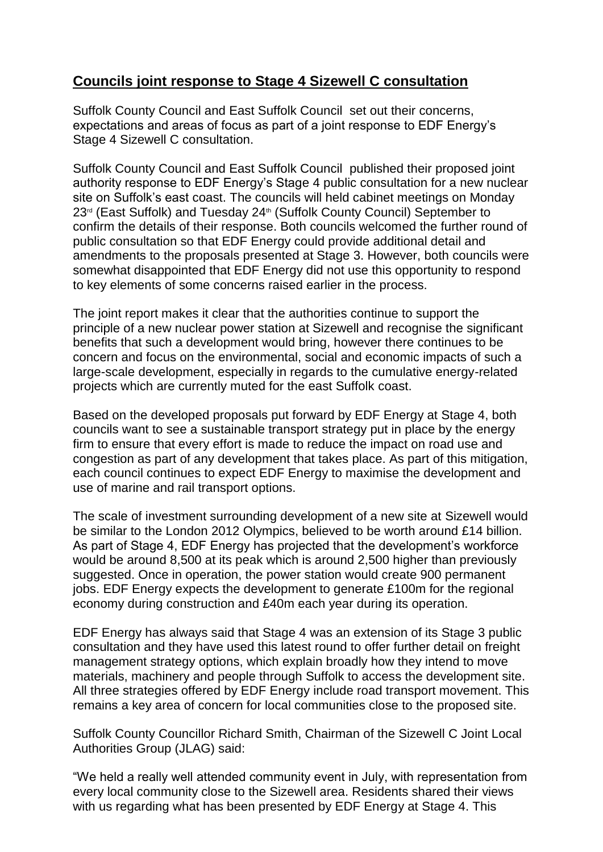# **Councils joint response to Stage 4 Sizewell C consultation**

Suffolk County Council and East Suffolk Council set out their concerns, expectations and areas of focus as part of a joint response to EDF Energy's Stage 4 Sizewell C consultation.

Suffolk County Council and East Suffolk Council published their proposed joint authority response to EDF Energy's Stage 4 public consultation for a new nuclear site on Suffolk's east coast. The councils will held cabinet meetings on Monday 23<sup>rd</sup> (East Suffolk) and Tuesday 24<sup>th</sup> (Suffolk County Council) September to confirm the details of their response. Both councils welcomed the further round of public consultation so that EDF Energy could provide additional detail and amendments to the proposals presented at Stage 3. However, both councils were somewhat disappointed that EDF Energy did not use this opportunity to respond to key elements of some concerns raised earlier in the process.

The joint report makes it clear that the authorities continue to support the principle of a new nuclear power station at Sizewell and recognise the significant benefits that such a development would bring, however there continues to be concern and focus on the environmental, social and economic impacts of such a large-scale development, especially in regards to the cumulative energy-related projects which are currently muted for the east Suffolk coast.

Based on the developed proposals put forward by EDF Energy at Stage 4, both councils want to see a sustainable transport strategy put in place by the energy firm to ensure that every effort is made to reduce the impact on road use and congestion as part of any development that takes place. As part of this mitigation, each council continues to expect EDF Energy to maximise the development and use of marine and rail transport options.

The scale of investment surrounding development of a new site at Sizewell would be similar to the London 2012 Olympics, believed to be worth around £14 billion. As part of Stage 4, EDF Energy has projected that the development's workforce would be around 8,500 at its peak which is around 2,500 higher than previously suggested. Once in operation, the power station would create 900 permanent jobs. EDF Energy expects the development to generate £100m for the regional economy during construction and £40m each year during its operation.

EDF Energy has always said that Stage 4 was an extension of its Stage 3 public consultation and they have used this latest round to offer further detail on freight management strategy options, which explain broadly how they intend to move materials, machinery and people through Suffolk to access the development site. All three strategies offered by EDF Energy include road transport movement. This remains a key area of concern for local communities close to the proposed site.

Suffolk County Councillor Richard Smith, Chairman of the Sizewell C Joint Local Authorities Group (JLAG) said:

"We held a really well attended community event in July, with representation from every local community close to the Sizewell area. Residents shared their views with us regarding what has been presented by EDF Energy at Stage 4. This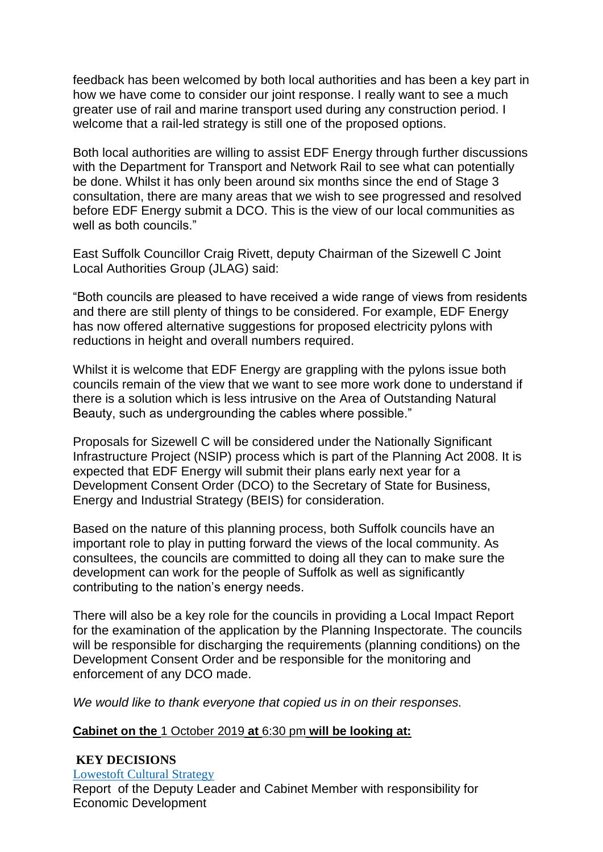feedback has been welcomed by both local authorities and has been a key part in how we have come to consider our joint response. I really want to see a much greater use of rail and marine transport used during any construction period. I welcome that a rail-led strategy is still one of the proposed options.

Both local authorities are willing to assist EDF Energy through further discussions with the Department for Transport and Network Rail to see what can potentially be done. Whilst it has only been around six months since the end of Stage 3 consultation, there are many areas that we wish to see progressed and resolved before EDF Energy submit a DCO. This is the view of our local communities as well as both councils."

East Suffolk Councillor Craig Rivett, deputy Chairman of the Sizewell C Joint Local Authorities Group (JLAG) said:

"Both councils are pleased to have received a wide range of views from residents and there are still plenty of things to be considered. For example, EDF Energy has now offered alternative suggestions for proposed electricity pylons with reductions in height and overall numbers required.

Whilst it is welcome that EDF Energy are grappling with the pylons issue both councils remain of the view that we want to see more work done to understand if there is a solution which is less intrusive on the Area of Outstanding Natural Beauty, such as undergrounding the cables where possible."

Proposals for Sizewell C will be considered under the Nationally Significant Infrastructure Project (NSIP) process which is part of the Planning Act 2008. It is expected that EDF Energy will submit their plans early next year for a Development Consent Order (DCO) to the Secretary of State for Business, Energy and Industrial Strategy (BEIS) for consideration.

Based on the nature of this planning process, both Suffolk councils have an important role to play in putting forward the views of the local community. As consultees, the councils are committed to doing all they can to make sure the development can work for the people of Suffolk as well as significantly contributing to the nation's energy needs.

There will also be a key role for the councils in providing a Local Impact Report for the examination of the application by the Planning Inspectorate. The councils will be responsible for discharging the requirements (planning conditions) on the Development Consent Order and be responsible for the monitoring and enforcement of any DCO made.

*We would like to thank everyone that copied us in on their responses.*

#### **Cabinet on the** 1 October 2019 **at** 6:30 pm **will be looking at:**

#### **KEY DECISIONS** [Lowestoft](http://eastsuffolk.cmis.uk.com/eastsuffolk/Decisions/tabid/67/ctl/ViewCMIS_DecisionDetails/mid/391/Id/ed728f50-74d7-46dd-aabc-7e1199002b11/Default.aspx) Cultural Strategy Report of the Deputy Leader and Cabinet Member with responsibility for Economic Development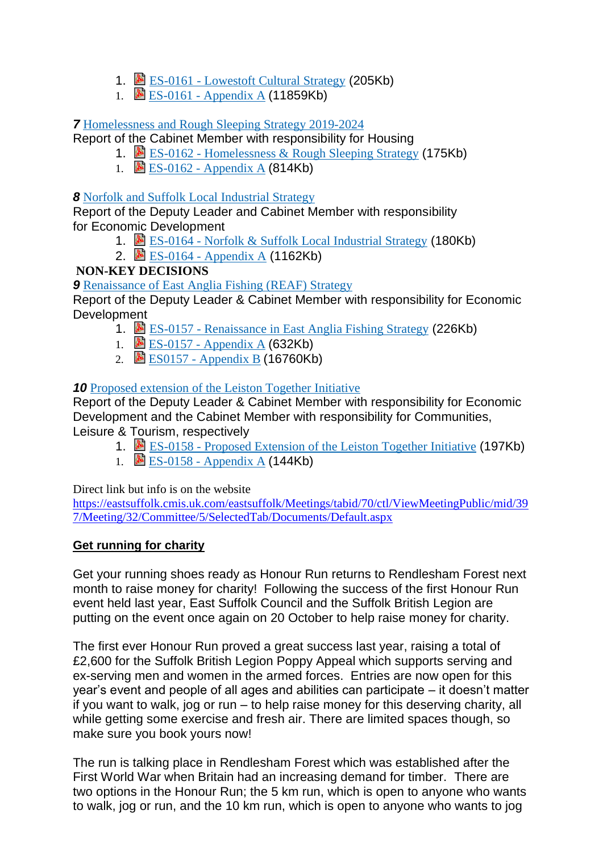- 1.  $\triangle$  ES-0161 [Lowestoft](https://eastsuffolk.cmis.uk.com/EastSuffolk/Document.ashx?czJKcaeAi5tUFL1DTL2UE4zNRBcoShgo=oQYK8iMoTU5%2f0XjP5IBnn1V65At%2fGnFCQn5aKwS3jFeDFHn%2b67DxPA%3d%3d&rUzwRPf%2bZ3zd4E7Ikn8Lyw%3d%3d=pwRE6AGJFLDNlh225F5QMaQWCtPHwdhUfCZ%2fLUQzgA2uL5jNRG4jdQ%3d%3d&mCTIbCubSFfXsDGW9IXnlg%3d%3d=hFflUdN3100%3d&kCx1AnS9%2fpWZQ40DXFvdEw%3d%3d=hFflUdN3100%3d&uJovDxwdjMPoYv%2bAJvYtyA%3d%3d=ctNJFf55vVA%3d&FgPlIEJYlotS%2bYGoBi5olA%3d%3d=NHdURQburHA%3d&d9Qjj0ag1Pd993jsyOJqFvmyB7X0CSQK=ctNJFf55vVA%3d&WGewmoAfeNR9xqBux0r1Q8Za60lavYmz=ctNJFf55vVA%3d&WGewmoAfeNQ16B2MHuCpMRKZMwaG1PaO=ctNJFf55vVA%3d) Cultural Strategy (205Kb)
- 1. B ES-0161 [Appendix](https://eastsuffolk.cmis.uk.com/EastSuffolk/Document.ashx?czJKcaeAi5tUFL1DTL2UE4zNRBcoShgo=JvvTMxamAra4YvF3qncf%2fWhqOua5fuwYBgxOy%2fJg%2f6UVnQLi3dX4EQ%3d%3d&rUzwRPf%2bZ3zd4E7Ikn8Lyw%3d%3d=pwRE6AGJFLDNlh225F5QMaQWCtPHwdhUfCZ%2fLUQzgA2uL5jNRG4jdQ%3d%3d&mCTIbCubSFfXsDGW9IXnlg%3d%3d=hFflUdN3100%3d&kCx1AnS9%2fpWZQ40DXFvdEw%3d%3d=hFflUdN3100%3d&uJovDxwdjMPoYv%2bAJvYtyA%3d%3d=ctNJFf55vVA%3d&FgPlIEJYlotS%2bYGoBi5olA%3d%3d=NHdURQburHA%3d&d9Qjj0ag1Pd993jsyOJqFvmyB7X0CSQK=ctNJFf55vVA%3d&WGewmoAfeNR9xqBux0r1Q8Za60lavYmz=ctNJFf55vVA%3d&WGewmoAfeNQ16B2MHuCpMRKZMwaG1PaO=ctNJFf55vVA%3d) A (11859Kb)

## *7* [Homelessness](http://eastsuffolk.cmis.uk.com/eastsuffolk/Decisions/tabid/67/ctl/ViewCMIS_DecisionDetails/mid/391/Id/70650864-0ae0-498a-bebe-c12e2c68a291/Default.aspx) and Rough Sleeping Strategy 2019-2024

Report of the Cabinet Member with responsibility for Housing

- 1. ES-0162 [Homelessness](https://eastsuffolk.cmis.uk.com/EastSuffolk/Document.ashx?czJKcaeAi5tUFL1DTL2UE4zNRBcoShgo=9KkCT9uuQC54bTAZ%2b4xXq6%2bViGYtr3EuKM9%2bdblBvwFEoGb72nSqkA%3d%3d&rUzwRPf%2bZ3zd4E7Ikn8Lyw%3d%3d=pwRE6AGJFLDNlh225F5QMaQWCtPHwdhUfCZ%2fLUQzgA2uL5jNRG4jdQ%3d%3d&mCTIbCubSFfXsDGW9IXnlg%3d%3d=hFflUdN3100%3d&kCx1AnS9%2fpWZQ40DXFvdEw%3d%3d=hFflUdN3100%3d&uJovDxwdjMPoYv%2bAJvYtyA%3d%3d=ctNJFf55vVA%3d&FgPlIEJYlotS%2bYGoBi5olA%3d%3d=NHdURQburHA%3d&d9Qjj0ag1Pd993jsyOJqFvmyB7X0CSQK=ctNJFf55vVA%3d&WGewmoAfeNR9xqBux0r1Q8Za60lavYmz=ctNJFf55vVA%3d&WGewmoAfeNQ16B2MHuCpMRKZMwaG1PaO=ctNJFf55vVA%3d) & Rough Sleeping Strategy (175Kb)
- 1.  $\triangle$  ES-0162 [Appendix](https://eastsuffolk.cmis.uk.com/EastSuffolk/Document.ashx?czJKcaeAi5tUFL1DTL2UE4zNRBcoShgo=2uLTd2vVJHMTeln5j%2fYG1AjGuDcxJytoLBsb2rULPFnzZBu9T5bQ3g%3d%3d&rUzwRPf%2bZ3zd4E7Ikn8Lyw%3d%3d=pwRE6AGJFLDNlh225F5QMaQWCtPHwdhUfCZ%2fLUQzgA2uL5jNRG4jdQ%3d%3d&mCTIbCubSFfXsDGW9IXnlg%3d%3d=hFflUdN3100%3d&kCx1AnS9%2fpWZQ40DXFvdEw%3d%3d=hFflUdN3100%3d&uJovDxwdjMPoYv%2bAJvYtyA%3d%3d=ctNJFf55vVA%3d&FgPlIEJYlotS%2bYGoBi5olA%3d%3d=NHdURQburHA%3d&d9Qjj0ag1Pd993jsyOJqFvmyB7X0CSQK=ctNJFf55vVA%3d&WGewmoAfeNR9xqBux0r1Q8Za60lavYmz=ctNJFf55vVA%3d&WGewmoAfeNQ16B2MHuCpMRKZMwaG1PaO=ctNJFf55vVA%3d) A (814Kb)

### *8* Norfolk and Suffolk Local [Industrial](http://eastsuffolk.cmis.uk.com/eastsuffolk/Decisions/tabid/67/ctl/ViewCMIS_DecisionDetails/mid/391/Id/a1a9c661-e913-43c9-875a-f814de13e129/Default.aspx) Strategy

Report of the Deputy Leader and Cabinet Member with responsibility for Economic Development

- 1. **E** ES-0164 Norfolk & Suffolk Local [Industrial](https://eastsuffolk.cmis.uk.com/EastSuffolk/Document.ashx?czJKcaeAi5tUFL1DTL2UE4zNRBcoShgo=Mv6HSYFFGriJ%2bN1CfYsQPJBCywFijSeLfkmGeiKLGIM3icWs8lmHpg%3d%3d&rUzwRPf%2bZ3zd4E7Ikn8Lyw%3d%3d=pwRE6AGJFLDNlh225F5QMaQWCtPHwdhUfCZ%2fLUQzgA2uL5jNRG4jdQ%3d%3d&mCTIbCubSFfXsDGW9IXnlg%3d%3d=hFflUdN3100%3d&kCx1AnS9%2fpWZQ40DXFvdEw%3d%3d=hFflUdN3100%3d&uJovDxwdjMPoYv%2bAJvYtyA%3d%3d=ctNJFf55vVA%3d&FgPlIEJYlotS%2bYGoBi5olA%3d%3d=NHdURQburHA%3d&d9Qjj0ag1Pd993jsyOJqFvmyB7X0CSQK=ctNJFf55vVA%3d&WGewmoAfeNR9xqBux0r1Q8Za60lavYmz=ctNJFf55vVA%3d&WGewmoAfeNQ16B2MHuCpMRKZMwaG1PaO=ctNJFf55vVA%3d) Strategy (180Kb)
- 2. 图 ES-0164 [Appendix](https://eastsuffolk.cmis.uk.com/EastSuffolk/Document.ashx?czJKcaeAi5tUFL1DTL2UE4zNRBcoShgo=2Mw58yThtKM%2f8SYfBnwMUe4UyKbjwarvHN6Yv3W037yphcb0iJhTYg%3d%3d&rUzwRPf%2bZ3zd4E7Ikn8Lyw%3d%3d=pwRE6AGJFLDNlh225F5QMaQWCtPHwdhUfCZ%2fLUQzgA2uL5jNRG4jdQ%3d%3d&mCTIbCubSFfXsDGW9IXnlg%3d%3d=hFflUdN3100%3d&kCx1AnS9%2fpWZQ40DXFvdEw%3d%3d=hFflUdN3100%3d&uJovDxwdjMPoYv%2bAJvYtyA%3d%3d=ctNJFf55vVA%3d&FgPlIEJYlotS%2bYGoBi5olA%3d%3d=NHdURQburHA%3d&d9Qjj0ag1Pd993jsyOJqFvmyB7X0CSQK=ctNJFf55vVA%3d&WGewmoAfeNR9xqBux0r1Q8Za60lavYmz=ctNJFf55vVA%3d&WGewmoAfeNQ16B2MHuCpMRKZMwaG1PaO=ctNJFf55vVA%3d) A (1162Kb)

## **NON-KEY DECISIONS**

**9** [Renaissance](http://eastsuffolk.cmis.uk.com/eastsuffolk/Decisions/tabid/67/ctl/ViewCMIS_DecisionDetails/mid/391/Id/64b1292a-067d-447b-9399-3d18741added/Default.aspx) of East Anglia Fishing (REAF) Strategy

Report of the Deputy Leader & Cabinet Member with responsibility for Economic Development

- 1. ES-0157 [Renaissance](https://eastsuffolk.cmis.uk.com/EastSuffolk/Document.ashx?czJKcaeAi5tUFL1DTL2UE4zNRBcoShgo=W%2bE1iFSI0KHe8gcsA4CqjSOKIro7m2gWeUtRDqRQpvDLYuk936AMpQ%3d%3d&rUzwRPf%2bZ3zd4E7Ikn8Lyw%3d%3d=pwRE6AGJFLDNlh225F5QMaQWCtPHwdhUfCZ%2fLUQzgA2uL5jNRG4jdQ%3d%3d&mCTIbCubSFfXsDGW9IXnlg%3d%3d=hFflUdN3100%3d&kCx1AnS9%2fpWZQ40DXFvdEw%3d%3d=hFflUdN3100%3d&uJovDxwdjMPoYv%2bAJvYtyA%3d%3d=ctNJFf55vVA%3d&FgPlIEJYlotS%2bYGoBi5olA%3d%3d=NHdURQburHA%3d&d9Qjj0ag1Pd993jsyOJqFvmyB7X0CSQK=ctNJFf55vVA%3d&WGewmoAfeNR9xqBux0r1Q8Za60lavYmz=ctNJFf55vVA%3d&WGewmoAfeNQ16B2MHuCpMRKZMwaG1PaO=ctNJFf55vVA%3d) in East Anglia Fishing Strategy (226Kb)
- 1. ES-0157 [Appendix](https://eastsuffolk.cmis.uk.com/EastSuffolk/Document.ashx?czJKcaeAi5tUFL1DTL2UE4zNRBcoShgo=UTvQ5xaSCUG3woO0wJL4MKbLxBGKOz3lK6lbOQQCH3SslRgVahaldQ%3d%3d&rUzwRPf%2bZ3zd4E7Ikn8Lyw%3d%3d=pwRE6AGJFLDNlh225F5QMaQWCtPHwdhUfCZ%2fLUQzgA2uL5jNRG4jdQ%3d%3d&mCTIbCubSFfXsDGW9IXnlg%3d%3d=hFflUdN3100%3d&kCx1AnS9%2fpWZQ40DXFvdEw%3d%3d=hFflUdN3100%3d&uJovDxwdjMPoYv%2bAJvYtyA%3d%3d=ctNJFf55vVA%3d&FgPlIEJYlotS%2bYGoBi5olA%3d%3d=NHdURQburHA%3d&d9Qjj0ag1Pd993jsyOJqFvmyB7X0CSQK=ctNJFf55vVA%3d&WGewmoAfeNR9xqBux0r1Q8Za60lavYmz=ctNJFf55vVA%3d&WGewmoAfeNQ16B2MHuCpMRKZMwaG1PaO=ctNJFf55vVA%3d) A (632Kb)
- 2. ES0157 [Appendix](https://eastsuffolk.cmis.uk.com/EastSuffolk/Document.ashx?czJKcaeAi5tUFL1DTL2UE4zNRBcoShgo=Q3x6KFa8ha8t4Vt5acPcebtt4eAEoPSi4GnUhux0ItfKF4j8QcLHAQ%3d%3d&rUzwRPf%2bZ3zd4E7Ikn8Lyw%3d%3d=pwRE6AGJFLDNlh225F5QMaQWCtPHwdhUfCZ%2fLUQzgA2uL5jNRG4jdQ%3d%3d&mCTIbCubSFfXsDGW9IXnlg%3d%3d=hFflUdN3100%3d&kCx1AnS9%2fpWZQ40DXFvdEw%3d%3d=hFflUdN3100%3d&uJovDxwdjMPoYv%2bAJvYtyA%3d%3d=ctNJFf55vVA%3d&FgPlIEJYlotS%2bYGoBi5olA%3d%3d=NHdURQburHA%3d&d9Qjj0ag1Pd993jsyOJqFvmyB7X0CSQK=ctNJFf55vVA%3d&WGewmoAfeNR9xqBux0r1Q8Za60lavYmz=ctNJFf55vVA%3d&WGewmoAfeNQ16B2MHuCpMRKZMwaG1PaO=ctNJFf55vVA%3d) B (16760Kb)

## *10* Proposed [extension](http://eastsuffolk.cmis.uk.com/eastsuffolk/Decisions/tabid/67/ctl/ViewCMIS_DecisionDetails/mid/391/Id/36e27c8b-9119-4d11-bb25-602818d9ddfd/Default.aspx) of the Leiston Together Initiative

Report of the Deputy Leader & Cabinet Member with responsibility for Economic Development and the Cabinet Member with responsibility for Communities, Leisure & Tourism, respectively

- 1. B ES-0158 Proposed [Extension](https://eastsuffolk.cmis.uk.com/EastSuffolk/Document.ashx?czJKcaeAi5tUFL1DTL2UE4zNRBcoShgo=1RT138OuwHIY55U0dal1Snl8iyOd%2fm0eagvOwrc2YFNHGECqATbFKg%3d%3d&rUzwRPf%2bZ3zd4E7Ikn8Lyw%3d%3d=pwRE6AGJFLDNlh225F5QMaQWCtPHwdhUfCZ%2fLUQzgA2uL5jNRG4jdQ%3d%3d&mCTIbCubSFfXsDGW9IXnlg%3d%3d=hFflUdN3100%3d&kCx1AnS9%2fpWZQ40DXFvdEw%3d%3d=hFflUdN3100%3d&uJovDxwdjMPoYv%2bAJvYtyA%3d%3d=ctNJFf55vVA%3d&FgPlIEJYlotS%2bYGoBi5olA%3d%3d=NHdURQburHA%3d&d9Qjj0ag1Pd993jsyOJqFvmyB7X0CSQK=ctNJFf55vVA%3d&WGewmoAfeNR9xqBux0r1Q8Za60lavYmz=ctNJFf55vVA%3d&WGewmoAfeNQ16B2MHuCpMRKZMwaG1PaO=ctNJFf55vVA%3d) of the Leiston Together Initiative (197Kb)
- 1.  $\mathbb{B}$  ES-0158 [Appendix](https://eastsuffolk.cmis.uk.com/EastSuffolk/Document.ashx?czJKcaeAi5tUFL1DTL2UE4zNRBcoShgo=PMyXZ0x4XnwPgNQ0%2bGOFCF62XupzptvdZupwcHkfxvAIxDEMtbjpvw%3d%3d&rUzwRPf%2bZ3zd4E7Ikn8Lyw%3d%3d=pwRE6AGJFLDNlh225F5QMaQWCtPHwdhUfCZ%2fLUQzgA2uL5jNRG4jdQ%3d%3d&mCTIbCubSFfXsDGW9IXnlg%3d%3d=hFflUdN3100%3d&kCx1AnS9%2fpWZQ40DXFvdEw%3d%3d=hFflUdN3100%3d&uJovDxwdjMPoYv%2bAJvYtyA%3d%3d=ctNJFf55vVA%3d&FgPlIEJYlotS%2bYGoBi5olA%3d%3d=NHdURQburHA%3d&d9Qjj0ag1Pd993jsyOJqFvmyB7X0CSQK=ctNJFf55vVA%3d&WGewmoAfeNR9xqBux0r1Q8Za60lavYmz=ctNJFf55vVA%3d&WGewmoAfeNQ16B2MHuCpMRKZMwaG1PaO=ctNJFf55vVA%3d) A (144Kb)

Direct link but info is on the website

[https://eastsuffolk.cmis.uk.com/eastsuffolk/Meetings/tabid/70/ctl/ViewMeetingPublic/mid/39](https://eastsuffolk.cmis.uk.com/eastsuffolk/Meetings/tabid/70/ctl/ViewMeetingPublic/mid/397/Meeting/32/Committee/5/SelectedTab/Documents/Default.aspx) [7/Meeting/32/Committee/5/SelectedTab/Documents/Default.aspx](https://eastsuffolk.cmis.uk.com/eastsuffolk/Meetings/tabid/70/ctl/ViewMeetingPublic/mid/397/Meeting/32/Committee/5/SelectedTab/Documents/Default.aspx)

## **Get running for charity**

Get your running shoes ready as Honour Run returns to Rendlesham Forest next month to raise money for charity! Following the success of the first Honour Run event held last year, East Suffolk Council and the Suffolk British Legion are putting on the event once again on 20 October to help raise money for charity.

The first ever Honour Run proved a great success last year, raising a total of £2,600 for the Suffolk British Legion Poppy Appeal which supports serving and ex-serving men and women in the armed forces. Entries are now open for this year's event and people of all ages and abilities can participate – it doesn't matter if you want to walk, jog or run – to help raise money for this deserving charity, all while getting some exercise and fresh air. There are limited spaces though, so make sure you book yours now!

The run is talking place in Rendlesham Forest which was established after the First World War when Britain had an increasing demand for timber. There are two options in the Honour Run; the 5 km run, which is open to anyone who wants to walk, jog or run, and the 10 km run, which is open to anyone who wants to jog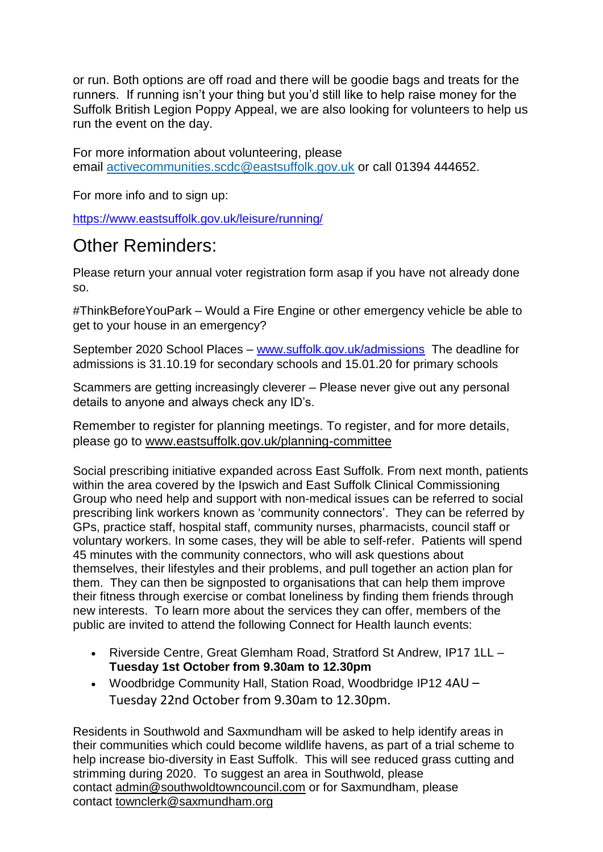or run. Both options are off road and there will be goodie bags and treats for the runners. If running isn't your thing but you'd still like to help raise money for the Suffolk British Legion Poppy Appeal, we are also looking for volunteers to help us run the event on the day.

For more information about volunteering, please email [activecommunities.scdc@eastsuffolk.gov.uk](mailto:activecommunities.scdc@eastsuffolk.gov.uk) or call 01394 444652.

For more info and to sign up:

<https://www.eastsuffolk.gov.uk/leisure/running/>

# Other Reminders:

Please return your annual voter registration form asap if you have not already done so.

#ThinkBeforeYouPark – Would a Fire Engine or other emergency vehicle be able to get to your house in an emergency?

September 2020 School Places – [www.suffolk.gov.uk/admissions](http://www.suffolk.gov.uk/admissions) The deadline for admissions is 31.10.19 for secondary schools and 15.01.20 for primary schools

Scammers are getting increasingly cleverer – Please never give out any personal details to anyone and always check any ID's.

Remember to register for planning meetings. To register, and for more details, please go to [www.eastsuffolk.gov.uk/planning-committee](http://www.eastsuffolk.gov.uk/planning-committee)

Social prescribing initiative expanded across East Suffolk. From next month, patients within the area covered by the Ipswich and East Suffolk Clinical Commissioning Group who need help and support with non-medical issues can be referred to social prescribing link workers known as 'community connectors'. They can be referred by GPs, practice staff, hospital staff, community nurses, pharmacists, council staff or voluntary workers. In some cases, they will be able to self-refer. Patients will spend 45 minutes with the community connectors, who will ask questions about themselves, their lifestyles and their problems, and pull together an action plan for them. They can then be signposted to organisations that can help them improve their fitness through exercise or combat loneliness by finding them friends through new interests. To learn more about the services they can offer, members of the public are invited to attend the following Connect for Health launch events:

- Riverside Centre, Great Glemham Road, Stratford St Andrew, IP17 1LL **Tuesday 1st October from 9.30am to 12.30pm**
- Woodbridge Community Hall, Station Road, Woodbridge IP12 4AU Tuesday 22nd October from 9.30am to 12.30pm.

Residents in Southwold and Saxmundham will be asked to help identify areas in their communities which could become wildlife havens, as part of a trial scheme to help increase bio-diversity in East Suffolk. This will see reduced grass cutting and strimming during 2020. To suggest an area in Southwold, please contact [admin@southwoldtowncouncil.com](mailto:admin@southwoldtowncouncil.com) or for Saxmundham, please contact [townclerk@saxmundham.org](mailto:townclerk@saxmundham.org)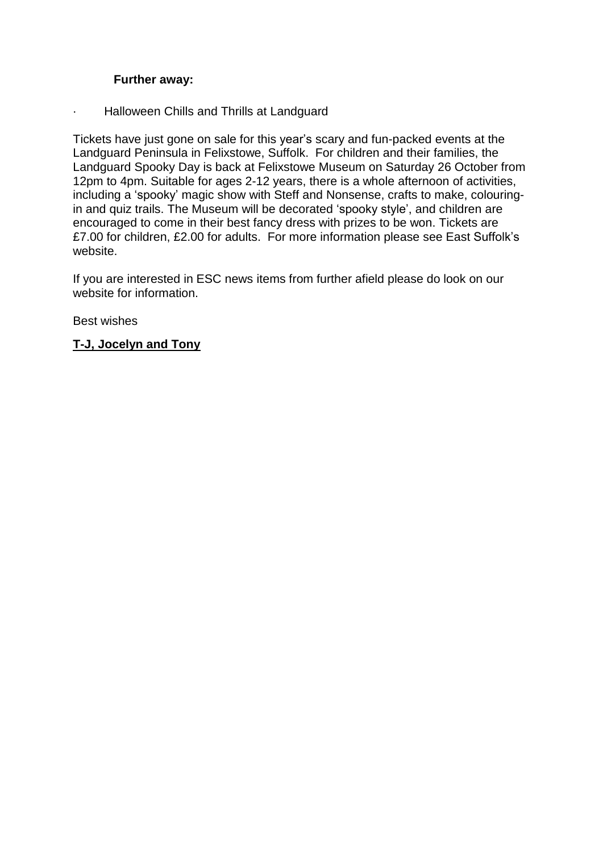#### **Further away:**

· Halloween Chills and Thrills at Landguard

Tickets have just gone on sale for this year's scary and fun-packed events at the Landguard Peninsula in Felixstowe, Suffolk. For children and their families, the Landguard Spooky Day is back at Felixstowe Museum on Saturday 26 October from 12pm to 4pm. Suitable for ages 2-12 years, there is a whole afternoon of activities, including a 'spooky' magic show with Steff and Nonsense, crafts to make, colouringin and quiz trails. The Museum will be decorated 'spooky style', and children are encouraged to come in their best fancy dress with prizes to be won. Tickets are £7.00 for children, £2.00 for adults. For more information please see East Suffolk's website.

If you are interested in ESC news items from further afield please do look on our website for information.

Best wishes

#### **T-J, Jocelyn and Tony**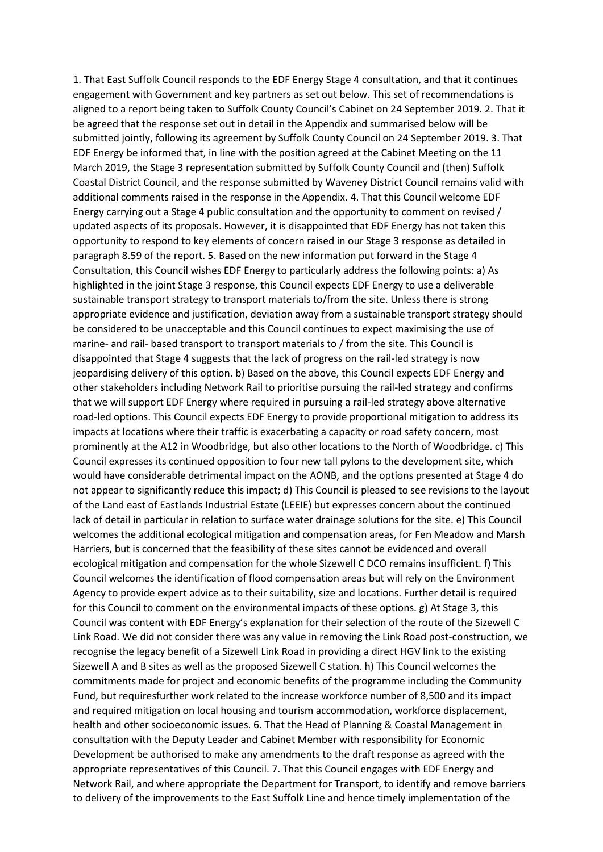1. That East Suffolk Council responds to the EDF Energy Stage 4 consultation, and that it continues engagement with Government and key partners as set out below. This set of recommendations is aligned to a report being taken to Suffolk County Council's Cabinet on 24 September 2019. 2. That it be agreed that the response set out in detail in the Appendix and summarised below will be submitted jointly, following its agreement by Suffolk County Council on 24 September 2019. 3. That EDF Energy be informed that, in line with the position agreed at the Cabinet Meeting on the 11 March 2019, the Stage 3 representation submitted by Suffolk County Council and (then) Suffolk Coastal District Council, and the response submitted by Waveney District Council remains valid with additional comments raised in the response in the Appendix. 4. That this Council welcome EDF Energy carrying out a Stage 4 public consultation and the opportunity to comment on revised / updated aspects of its proposals. However, it is disappointed that EDF Energy has not taken this opportunity to respond to key elements of concern raised in our Stage 3 response as detailed in paragraph 8.59 of the report. 5. Based on the new information put forward in the Stage 4 Consultation, this Council wishes EDF Energy to particularly address the following points: a) As highlighted in the joint Stage 3 response, this Council expects EDF Energy to use a deliverable sustainable transport strategy to transport materials to/from the site. Unless there is strong appropriate evidence and justification, deviation away from a sustainable transport strategy should be considered to be unacceptable and this Council continues to expect maximising the use of marine- and rail- based transport to transport materials to / from the site. This Council is disappointed that Stage 4 suggests that the lack of progress on the rail-led strategy is now jeopardising delivery of this option. b) Based on the above, this Council expects EDF Energy and other stakeholders including Network Rail to prioritise pursuing the rail-led strategy and confirms that we will support EDF Energy where required in pursuing a rail-led strategy above alternative road-led options. This Council expects EDF Energy to provide proportional mitigation to address its impacts at locations where their traffic is exacerbating a capacity or road safety concern, most prominently at the A12 in Woodbridge, but also other locations to the North of Woodbridge. c) This Council expresses its continued opposition to four new tall pylons to the development site, which would have considerable detrimental impact on the AONB, and the options presented at Stage 4 do not appear to significantly reduce this impact; d) This Council is pleased to see revisions to the layout of the Land east of Eastlands Industrial Estate (LEEIE) but expresses concern about the continued lack of detail in particular in relation to surface water drainage solutions for the site. e) This Council welcomes the additional ecological mitigation and compensation areas, for Fen Meadow and Marsh Harriers, but is concerned that the feasibility of these sites cannot be evidenced and overall ecological mitigation and compensation for the whole Sizewell C DCO remains insufficient. f) This Council welcomes the identification of flood compensation areas but will rely on the Environment Agency to provide expert advice as to their suitability, size and locations. Further detail is required for this Council to comment on the environmental impacts of these options. g) At Stage 3, this Council was content with EDF Energy's explanation for their selection of the route of the Sizewell C Link Road. We did not consider there was any value in removing the Link Road post-construction, we recognise the legacy benefit of a Sizewell Link Road in providing a direct HGV link to the existing Sizewell A and B sites as well as the proposed Sizewell C station. h) This Council welcomes the commitments made for project and economic benefits of the programme including the Community Fund, but requiresfurther work related to the increase workforce number of 8,500 and its impact and required mitigation on local housing and tourism accommodation, workforce displacement, health and other socioeconomic issues. 6. That the Head of Planning & Coastal Management in consultation with the Deputy Leader and Cabinet Member with responsibility for Economic Development be authorised to make any amendments to the draft response as agreed with the appropriate representatives of this Council. 7. That this Council engages with EDF Energy and Network Rail, and where appropriate the Department for Transport, to identify and remove barriers to delivery of the improvements to the East Suffolk Line and hence timely implementation of the